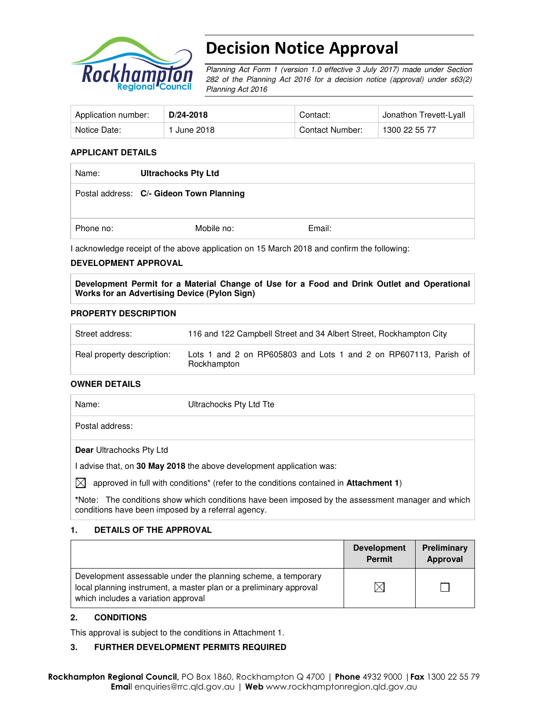

# Decision Notice Approval

Planning Act Form 1 (version 1.0 effective 3 July 2017) made under Section 282 of the Planning Act 2016 for a decision notice (approval) under s63(2) Planning Act 2016

| Application number: | D/24-2018                | Contact:        | Jonathon Trevett-Lyall |
|---------------------|--------------------------|-----------------|------------------------|
| Notice Date:        | 1 June 2018 <sub>.</sub> | Contact Number: | 1300 22 55 77          |

#### **APPLICANT DETAILS**

| Name:     | <b>Ultrachocks Pty Ltd</b>               |        |  |
|-----------|------------------------------------------|--------|--|
|           | Postal address: C/- Gideon Town Planning |        |  |
| Phone no: | Mobile no:                               | Email: |  |

I acknowledge receipt of the above application on 15 March 2018 and confirm the following:

#### **DEVELOPMENT APPROVAL**

**Development Permit for a Material Change of Use for a Food and Drink Outlet and Operational Works for an Advertising Device (Pylon Sign)** 

#### **PROPERTY DESCRIPTION**

| Street address:            | 116 and 122 Campbell Street and 34 Albert Street, Rockhampton City              |
|----------------------------|---------------------------------------------------------------------------------|
| Real property description: | Lots 1 and 2 on RP605803 and Lots 1 and 2 on RP607113, Parish of<br>Rockhampton |

#### **OWNER DETAILS**

| Name:                           | Ultrachocks Pty Ltd Tte                                            |
|---------------------------------|--------------------------------------------------------------------|
| Postal address:                 |                                                                    |
| <b>Dear Ultrachocks Pty Ltd</b> |                                                                    |
|                                 | Ladvise that on 30 May 2018 the above development application was: |

se that, on **30 May 2018** the above development application was:

 $\bowtie$  approved in full with conditions<sup>\*</sup> (refer to the conditions contained in **Attachment 1**)

**\***Note:The conditions show which conditions have been imposed by the assessment manager and which conditions have been imposed by a referral agency.

#### **1. DETAILS OF THE APPROVAL**

|                                                                                                                                                                            | <b>Development</b><br><b>Permit</b> | Preliminary<br>Approval |
|----------------------------------------------------------------------------------------------------------------------------------------------------------------------------|-------------------------------------|-------------------------|
| Development assessable under the planning scheme, a temporary<br>local planning instrument, a master plan or a preliminary approval<br>which includes a variation approval |                                     |                         |

#### **2. CONDITIONS**

This approval is subject to the conditions in Attachment 1.

#### **3. FURTHER DEVELOPMENT PERMITS REQUIRED**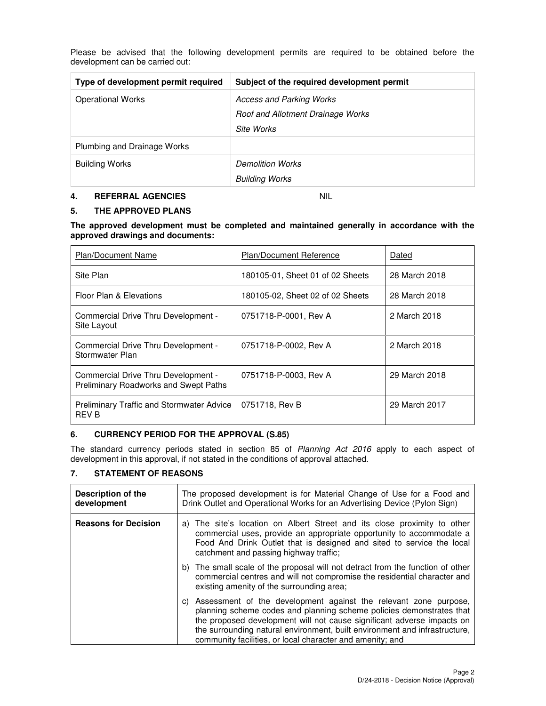| Type of development permit required | Subject of the required development permit |
|-------------------------------------|--------------------------------------------|
| <b>Operational Works</b>            | <b>Access and Parking Works</b>            |
|                                     | Roof and Allotment Drainage Works          |
|                                     | Site Works                                 |
| Plumbing and Drainage Works         |                                            |
| <b>Building Works</b>               | <b>Demolition Works</b>                    |
|                                     | <b>Building Works</b>                      |

Please be advised that the following development permits are required to be obtained before the development can be carried out:

#### **4. REFERRAL AGENCIES** NIL

#### **5. THE APPROVED PLANS**

**The approved development must be completed and maintained generally in accordance with the approved drawings and documents:** 

| <b>Plan/Document Name</b>                                                    | <b>Plan/Document Reference</b>   | Dated         |
|------------------------------------------------------------------------------|----------------------------------|---------------|
| Site Plan                                                                    | 180105-01, Sheet 01 of 02 Sheets | 28 March 2018 |
| Floor Plan & Elevations                                                      | 180105-02, Sheet 02 of 02 Sheets | 28 March 2018 |
| Commercial Drive Thru Development -<br>Site Layout                           | 0751718-P-0001, Rev A            | 2 March 2018  |
| Commercial Drive Thru Development -<br>Stormwater Plan                       | 0751718-P-0002, Rev A            | 2 March 2018  |
| Commercial Drive Thru Development -<br>Preliminary Roadworks and Swept Paths | 0751718-P-0003, Rev A            | 29 March 2018 |
| <b>Preliminary Traffic and Stormwater Advice</b><br>REV B                    | 0751718, Rev B                   | 29 March 2017 |

#### **6. CURRENCY PERIOD FOR THE APPROVAL (S.85)**

The standard currency periods stated in section 85 of Planning Act 2016 apply to each aspect of development in this approval, if not stated in the conditions of approval attached.

#### **7. STATEMENT OF REASONS**

| Description of the<br>development | The proposed development is for Material Change of Use for a Food and<br>Drink Outlet and Operational Works for an Advertising Device (Pylon Sign)                                                                                                                                                                                                               |
|-----------------------------------|------------------------------------------------------------------------------------------------------------------------------------------------------------------------------------------------------------------------------------------------------------------------------------------------------------------------------------------------------------------|
| <b>Reasons for Decision</b>       | a) The site's location on Albert Street and its close proximity to other<br>commercial uses, provide an appropriate opportunity to accommodate a<br>Food And Drink Outlet that is designed and sited to service the local<br>catchment and passing highway traffic;                                                                                              |
|                                   | b) The small scale of the proposal will not detract from the function of other<br>commercial centres and will not compromise the residential character and<br>existing amenity of the surrounding area;                                                                                                                                                          |
|                                   | c) Assessment of the development against the relevant zone purpose,<br>planning scheme codes and planning scheme policies demonstrates that<br>the proposed development will not cause significant adverse impacts on<br>the surrounding natural environment, built environment and infrastructure,<br>community facilities, or local character and amenity; and |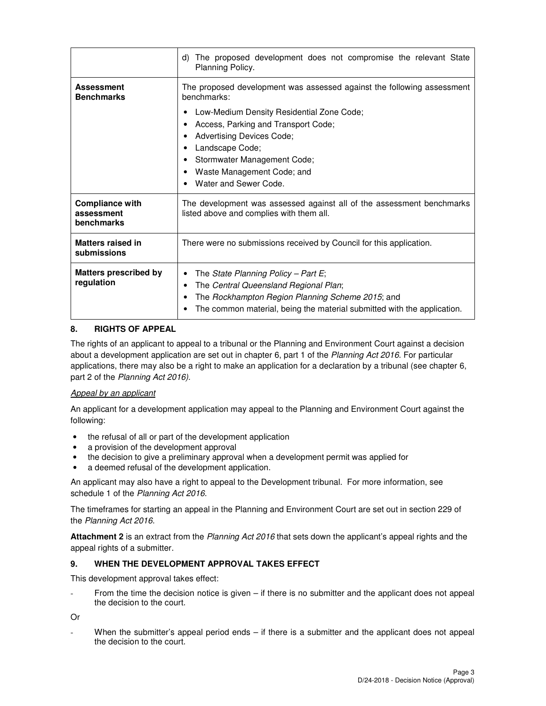|                                                    | The proposed development does not compromise the relevant State<br>d)<br>Planning Policy.                                                                                                                                               |  |  |
|----------------------------------------------------|-----------------------------------------------------------------------------------------------------------------------------------------------------------------------------------------------------------------------------------------|--|--|
| <b>Assessment</b><br><b>Benchmarks</b>             | The proposed development was assessed against the following assessment<br>benchmarks:                                                                                                                                                   |  |  |
|                                                    | Low-Medium Density Residential Zone Code;<br>٠<br>Access, Parking and Transport Code;<br><b>Advertising Devices Code;</b><br>Landscape Code;<br>Stormwater Management Code;<br>Waste Management Code; and<br>٠<br>Water and Sewer Code. |  |  |
| <b>Compliance with</b><br>assessment<br>benchmarks | The development was assessed against all of the assessment benchmarks<br>listed above and complies with them all.                                                                                                                       |  |  |
| Matters raised in<br>submissions                   | There were no submissions received by Council for this application.                                                                                                                                                                     |  |  |
| <b>Matters prescribed by</b><br>regulation         | The State Planning Policy - Part E;<br>٠<br>The Central Queensland Regional Plan;<br>٠<br>The Rockhampton Region Planning Scheme 2015; and<br>٠<br>The common material, being the material submitted with the application.<br>٠         |  |  |

## **8. RIGHTS OF APPEAL**

The rights of an applicant to appeal to a tribunal or the Planning and Environment Court against a decision about a development application are set out in chapter 6, part 1 of the Planning Act 2016. For particular applications, there may also be a right to make an application for a declaration by a tribunal (see chapter 6, part 2 of the Planning Act 2016).

## Appeal by an applicant

An applicant for a development application may appeal to the Planning and Environment Court against the following:

- the refusal of all or part of the development application
- a provision of the development approval
- the decision to give a preliminary approval when a development permit was applied for
- a deemed refusal of the development application.

An applicant may also have a right to appeal to the Development tribunal. For more information, see schedule 1 of the Planning Act 2016.

The timeframes for starting an appeal in the Planning and Environment Court are set out in section 229 of the Planning Act 2016.

**Attachment 2** is an extract from the Planning Act 2016 that sets down the applicant's appeal rights and the appeal rights of a submitter.

#### **9. WHEN THE DEVELOPMENT APPROVAL TAKES EFFECT**

This development approval takes effect:

From the time the decision notice is given  $-$  if there is no submitter and the applicant does not appeal the decision to the court.

Or

When the submitter's appeal period ends  $-$  if there is a submitter and the applicant does not appeal the decision to the court.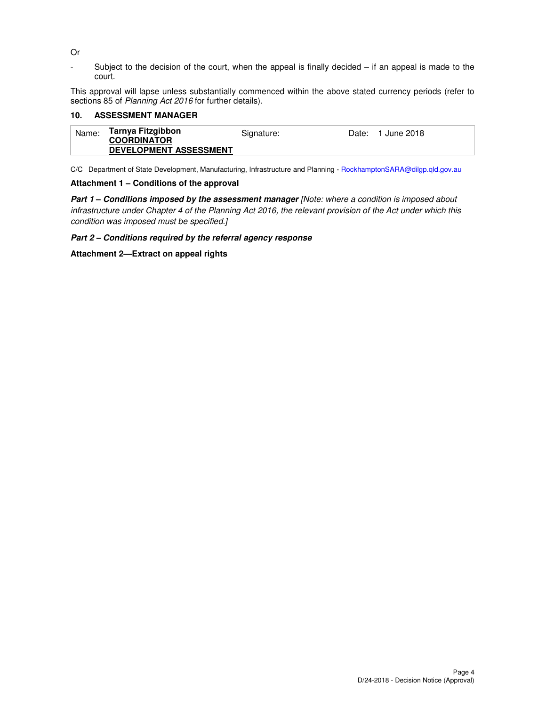#### Or

- Subject to the decision of the court, when the appeal is finally decided – if an appeal is made to the court.

This approval will lapse unless substantially commenced within the above stated currency periods (refer to sections 85 of Planning Act 2016 for further details).

#### **10. ASSESSMENT MANAGER**

| Name: | Tarnya Fitzgibbon<br><b>COORDINATOR</b> | Signature: | Date: 1 June 2018 |
|-------|-----------------------------------------|------------|-------------------|
|       | <b>DEVELOPMENT ASSESSMENT</b>           |            |                   |

C/C Department of State Development, Manufacturing, Infrastructure and Planning - RockhamptonSARA@dilgp.qld.gov.au

#### **Attachment 1 – Conditions of the approval**

**Part 1 – Conditions imposed by the assessment manager** [Note: where a condition is imposed about infrastructure under Chapter 4 of the Planning Act 2016, the relevant provision of the Act under which this condition was imposed must be specified.]

**Part 2 – Conditions required by the referral agency response**

**Attachment 2—Extract on appeal rights**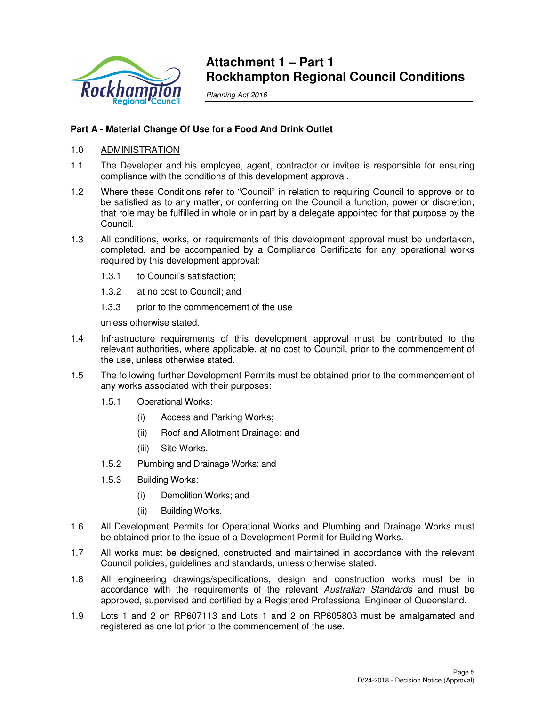

## **Attachment 1 – Part 1 Rockhampton Regional Council Conditions**

Planning Act 2016

## **Part A - Material Change Of Use for a Food And Drink Outlet**

## 1.0 ADMINISTRATION

- 1.1 The Developer and his employee, agent, contractor or invitee is responsible for ensuring compliance with the conditions of this development approval.
- 1.2 Where these Conditions refer to "Council" in relation to requiring Council to approve or to be satisfied as to any matter, or conferring on the Council a function, power or discretion, that role may be fulfilled in whole or in part by a delegate appointed for that purpose by the Council.
- 1.3 All conditions, works, or requirements of this development approval must be undertaken, completed, and be accompanied by a Compliance Certificate for any operational works required by this development approval:
	- 1.3.1 to Council's satisfaction;
	- 1.3.2 at no cost to Council; and
	- 1.3.3 prior to the commencement of the use

unless otherwise stated.

- 1.4 Infrastructure requirements of this development approval must be contributed to the relevant authorities, where applicable, at no cost to Council, prior to the commencement of the use, unless otherwise stated.
- 1.5 The following further Development Permits must be obtained prior to the commencement of any works associated with their purposes:
	- 1.5.1 Operational Works:
		- (i) Access and Parking Works;
		- (ii) Roof and Allotment Drainage; and
		- (iii) Site Works.
	- 1.5.2 Plumbing and Drainage Works; and
	- 1.5.3 Building Works:
		- (i) Demolition Works; and
		- (ii) Building Works.
- 1.6 All Development Permits for Operational Works and Plumbing and Drainage Works must be obtained prior to the issue of a Development Permit for Building Works.
- 1.7 All works must be designed, constructed and maintained in accordance with the relevant Council policies, guidelines and standards, unless otherwise stated.
- 1.8 All engineering drawings/specifications, design and construction works must be in accordance with the requirements of the relevant Australian Standards and must be approved, supervised and certified by a Registered Professional Engineer of Queensland.
- 1.9 Lots 1 and 2 on RP607113 and Lots 1 and 2 on RP605803 must be amalgamated and registered as one lot prior to the commencement of the use.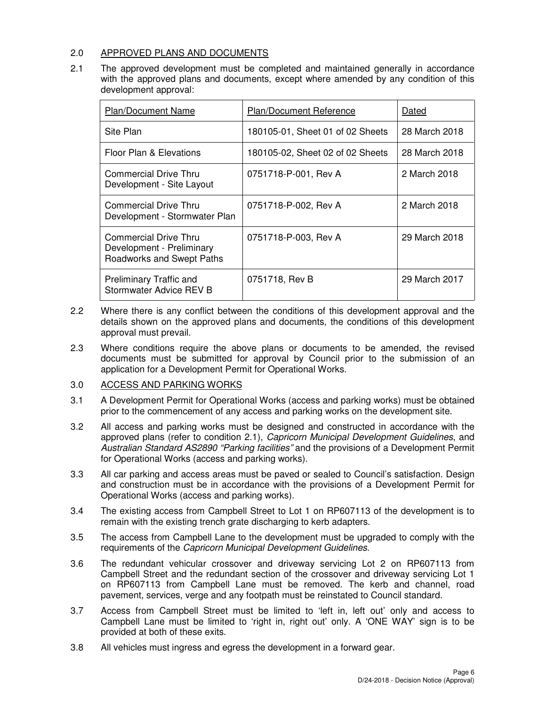## 2.0 APPROVED PLANS AND DOCUMENTS

2.1 The approved development must be completed and maintained generally in accordance with the approved plans and documents, except where amended by any condition of this development approval:

| <b>Plan/Document Name</b>                                                       | <b>Plan/Document Reference</b>   | Dated         |
|---------------------------------------------------------------------------------|----------------------------------|---------------|
| Site Plan                                                                       | 180105-01, Sheet 01 of 02 Sheets | 28 March 2018 |
| Floor Plan & Elevations                                                         | 180105-02, Sheet 02 of 02 Sheets | 28 March 2018 |
| Commercial Drive Thru<br>Development - Site Layout                              | 0751718-P-001, Rev A             | 2 March 2018  |
| Commercial Drive Thru<br>Development - Stormwater Plan                          | 0751718-P-002, Rev A             | 2 March 2018  |
| Commercial Drive Thru<br>Development - Preliminary<br>Roadworks and Swept Paths | 0751718-P-003, Rev A             | 29 March 2018 |
| <b>Preliminary Traffic and</b><br>Stormwater Advice REV B                       | 0751718, Rev B                   | 29 March 2017 |

- 2.2 Where there is any conflict between the conditions of this development approval and the details shown on the approved plans and documents, the conditions of this development approval must prevail.
- 2.3 Where conditions require the above plans or documents to be amended, the revised documents must be submitted for approval by Council prior to the submission of an application for a Development Permit for Operational Works.

#### 3.0 ACCESS AND PARKING WORKS

- 3.1 A Development Permit for Operational Works (access and parking works) must be obtained prior to the commencement of any access and parking works on the development site.
- 3.2 All access and parking works must be designed and constructed in accordance with the approved plans (refer to condition 2.1), Capricorn Municipal Development Guidelines, and Australian Standard AS2890 "Parking facilities" and the provisions of a Development Permit for Operational Works (access and parking works).
- 3.3 All car parking and access areas must be paved or sealed to Council's satisfaction. Design and construction must be in accordance with the provisions of a Development Permit for Operational Works (access and parking works).
- 3.4 The existing access from Campbell Street to Lot 1 on RP607113 of the development is to remain with the existing trench grate discharging to kerb adapters.
- 3.5 The access from Campbell Lane to the development must be upgraded to comply with the requirements of the Capricorn Municipal Development Guidelines.
- 3.6 The redundant vehicular crossover and driveway servicing Lot 2 on RP607113 from Campbell Street and the redundant section of the crossover and driveway servicing Lot 1 on RP607113 from Campbell Lane must be removed. The kerb and channel, road pavement, services, verge and any footpath must be reinstated to Council standard.
- 3.7 Access from Campbell Street must be limited to 'left in, left out' only and access to Campbell Lane must be limited to 'right in, right out' only. A 'ONE WAY' sign is to be provided at both of these exits.
- 3.8 All vehicles must ingress and egress the development in a forward gear.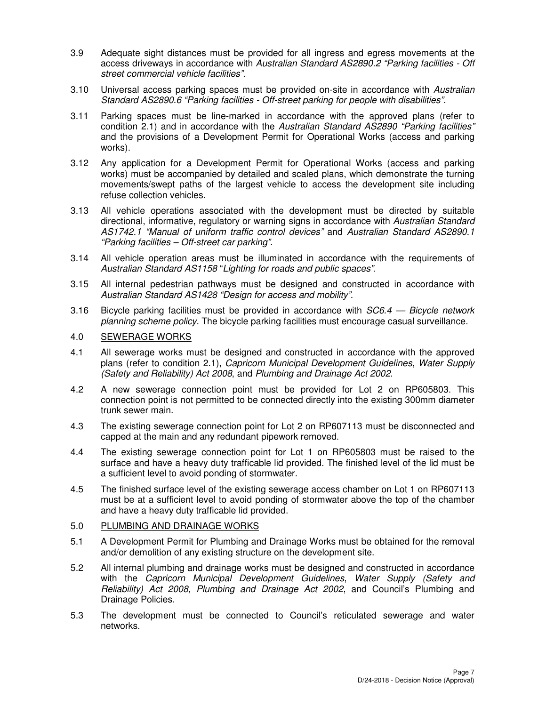- 3.9 Adequate sight distances must be provided for all ingress and egress movements at the access driveways in accordance with Australian Standard AS2890.2 "Parking facilities - Off street commercial vehicle facilities".
- 3.10 Universal access parking spaces must be provided on-site in accordance with Australian Standard AS2890.6 "Parking facilities - Off-street parking for people with disabilities".
- 3.11 Parking spaces must be line-marked in accordance with the approved plans (refer to condition 2.1) and in accordance with the Australian Standard AS2890 "Parking facilities" and the provisions of a Development Permit for Operational Works (access and parking works).
- 3.12 Any application for a Development Permit for Operational Works (access and parking works) must be accompanied by detailed and scaled plans, which demonstrate the turning movements/swept paths of the largest vehicle to access the development site including refuse collection vehicles.
- 3.13 All vehicle operations associated with the development must be directed by suitable directional, informative, regulatory or warning signs in accordance with Australian Standard AS1742.1 "Manual of uniform traffic control devices" and Australian Standard AS2890.1 "Parking facilities – Off-street car parking".
- 3.14 All vehicle operation areas must be illuminated in accordance with the requirements of Australian Standard AS1158 "Lighting for roads and public spaces".
- 3.15 All internal pedestrian pathways must be designed and constructed in accordance with Australian Standard AS1428 "Design for access and mobility".
- 3.16 Bicycle parking facilities must be provided in accordance with  $SC6.4$  Bicycle network planning scheme policy. The bicycle parking facilities must encourage casual surveillance.

#### 4.0 SEWERAGE WORKS

- 4.1 All sewerage works must be designed and constructed in accordance with the approved plans (refer to condition 2.1), Capricorn Municipal Development Guidelines, Water Supply (Safety and Reliability) Act 2008, and Plumbing and Drainage Act 2002.
- 4.2 A new sewerage connection point must be provided for Lot 2 on RP605803. This connection point is not permitted to be connected directly into the existing 300mm diameter trunk sewer main.
- 4.3 The existing sewerage connection point for Lot 2 on RP607113 must be disconnected and capped at the main and any redundant pipework removed.
- 4.4 The existing sewerage connection point for Lot 1 on RP605803 must be raised to the surface and have a heavy duty trafficable lid provided. The finished level of the lid must be a sufficient level to avoid ponding of stormwater.
- 4.5 The finished surface level of the existing sewerage access chamber on Lot 1 on RP607113 must be at a sufficient level to avoid ponding of stormwater above the top of the chamber and have a heavy duty trafficable lid provided.

## 5.0 PLUMBING AND DRAINAGE WORKS

- 5.1 A Development Permit for Plumbing and Drainage Works must be obtained for the removal and/or demolition of any existing structure on the development site.
- 5.2 All internal plumbing and drainage works must be designed and constructed in accordance with the Capricorn Municipal Development Guidelines, Water Supply (Safety and Reliability) Act 2008, Plumbing and Drainage Act 2002, and Council's Plumbing and Drainage Policies.
- 5.3 The development must be connected to Council's reticulated sewerage and water networks.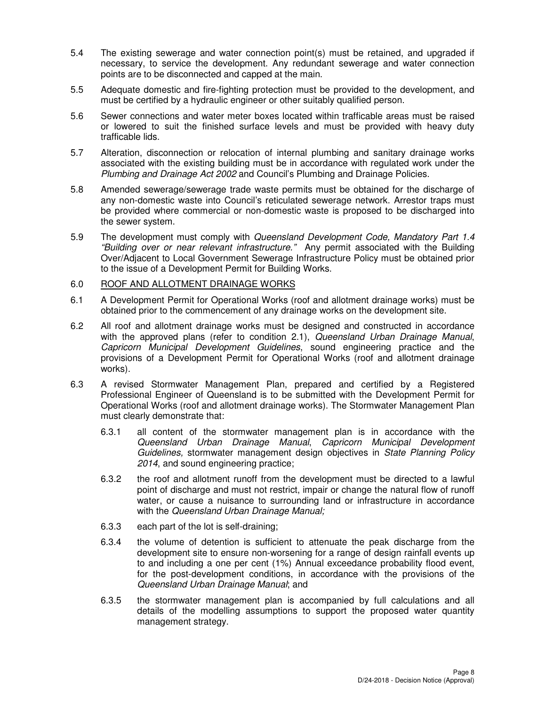- 5.4 The existing sewerage and water connection point(s) must be retained, and upgraded if necessary, to service the development. Any redundant sewerage and water connection points are to be disconnected and capped at the main.
- 5.5 Adequate domestic and fire-fighting protection must be provided to the development, and must be certified by a hydraulic engineer or other suitably qualified person.
- 5.6 Sewer connections and water meter boxes located within trafficable areas must be raised or lowered to suit the finished surface levels and must be provided with heavy duty trafficable lids.
- 5.7 Alteration, disconnection or relocation of internal plumbing and sanitary drainage works associated with the existing building must be in accordance with regulated work under the Plumbing and Drainage Act 2002 and Council's Plumbing and Drainage Policies.
- 5.8 Amended sewerage/sewerage trade waste permits must be obtained for the discharge of any non-domestic waste into Council's reticulated sewerage network. Arrestor traps must be provided where commercial or non-domestic waste is proposed to be discharged into the sewer system.
- 5.9 The development must comply with Queensland Development Code, Mandatory Part 1.4 "Building over or near relevant infrastructure." Any permit associated with the Building Over/Adjacent to Local Government Sewerage Infrastructure Policy must be obtained prior to the issue of a Development Permit for Building Works.

## 6.0 ROOF AND ALLOTMENT DRAINAGE WORKS

- 6.1 A Development Permit for Operational Works (roof and allotment drainage works) must be obtained prior to the commencement of any drainage works on the development site.
- 6.2 All roof and allotment drainage works must be designed and constructed in accordance with the approved plans (refer to condition 2.1), Queensland Urban Drainage Manual, Capricorn Municipal Development Guidelines, sound engineering practice and the provisions of a Development Permit for Operational Works (roof and allotment drainage works).
- 6.3 A revised Stormwater Management Plan, prepared and certified by a Registered Professional Engineer of Queensland is to be submitted with the Development Permit for Operational Works (roof and allotment drainage works). The Stormwater Management Plan must clearly demonstrate that:
	- 6.3.1 all content of the stormwater management plan is in accordance with the Queensland Urban Drainage Manual, Capricorn Municipal Development Guidelines, stormwater management design objectives in State Planning Policy 2014, and sound engineering practice;
	- 6.3.2 the roof and allotment runoff from the development must be directed to a lawful point of discharge and must not restrict, impair or change the natural flow of runoff water, or cause a nuisance to surrounding land or infrastructure in accordance with the Queensland Urban Drainage Manual;
	- 6.3.3 each part of the lot is self-draining;
	- 6.3.4 the volume of detention is sufficient to attenuate the peak discharge from the development site to ensure non-worsening for a range of design rainfall events up to and including a one per cent (1%) Annual exceedance probability flood event, for the post-development conditions, in accordance with the provisions of the Queensland Urban Drainage Manual; and
	- 6.3.5 the stormwater management plan is accompanied by full calculations and all details of the modelling assumptions to support the proposed water quantity management strategy.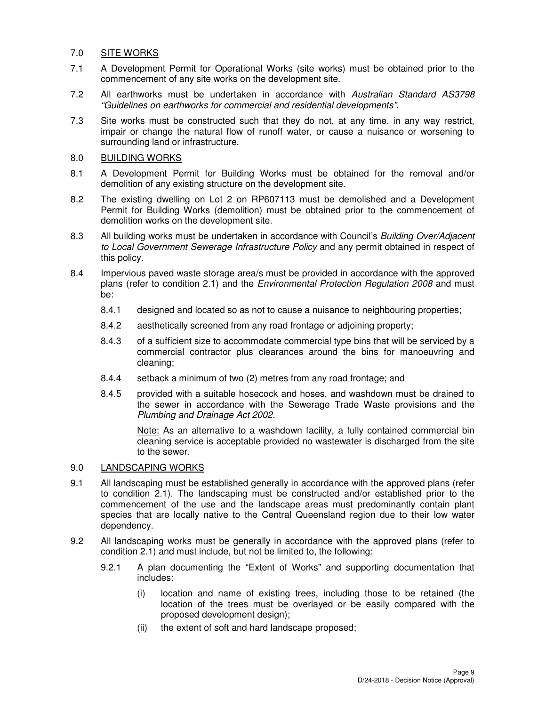#### 7.0 SITE WORKS

- 7.1 A Development Permit for Operational Works (site works) must be obtained prior to the commencement of any site works on the development site.
- 7.2 All earthworks must be undertaken in accordance with Australian Standard AS3798 "Guidelines on earthworks for commercial and residential developments".
- 7.3 Site works must be constructed such that they do not, at any time, in any way restrict, impair or change the natural flow of runoff water, or cause a nuisance or worsening to surrounding land or infrastructure.

#### 8.0 BUILDING WORKS

- 8.1 A Development Permit for Building Works must be obtained for the removal and/or demolition of any existing structure on the development site.
- 8.2 The existing dwelling on Lot 2 on RP607113 must be demolished and a Development Permit for Building Works (demolition) must be obtained prior to the commencement of demolition works on the development site.
- 8.3 All building works must be undertaken in accordance with Council's Building Over/Adjacent to Local Government Sewerage Infrastructure Policy and any permit obtained in respect of this policy.
- 8.4 Impervious paved waste storage area/s must be provided in accordance with the approved plans (refer to condition 2.1) and the Environmental Protection Regulation 2008 and must be:
	- 8.4.1 designed and located so as not to cause a nuisance to neighbouring properties;
	- 8.4.2 aesthetically screened from any road frontage or adjoining property;
	- 8.4.3 of a sufficient size to accommodate commercial type bins that will be serviced by a commercial contractor plus clearances around the bins for manoeuvring and cleaning;
	- 8.4.4 setback a minimum of two (2) metres from any road frontage; and
	- 8.4.5 provided with a suitable hosecock and hoses, and washdown must be drained to the sewer in accordance with the Sewerage Trade Waste provisions and the Plumbing and Drainage Act 2002.

Note: As an alternative to a washdown facility, a fully contained commercial bin cleaning service is acceptable provided no wastewater is discharged from the site to the sewer.

## 9.0 LANDSCAPING WORKS

- 9.1 All landscaping must be established generally in accordance with the approved plans (refer to condition 2.1). The landscaping must be constructed and/or established prior to the commencement of the use and the landscape areas must predominantly contain plant species that are locally native to the Central Queensland region due to their low water dependency.
- 9.2 All landscaping works must be generally in accordance with the approved plans (refer to condition 2.1) and must include, but not be limited to, the following:
	- 9.2.1 A plan documenting the "Extent of Works" and supporting documentation that includes:
		- (i) location and name of existing trees, including those to be retained (the location of the trees must be overlayed or be easily compared with the proposed development design);
		- (ii) the extent of soft and hard landscape proposed;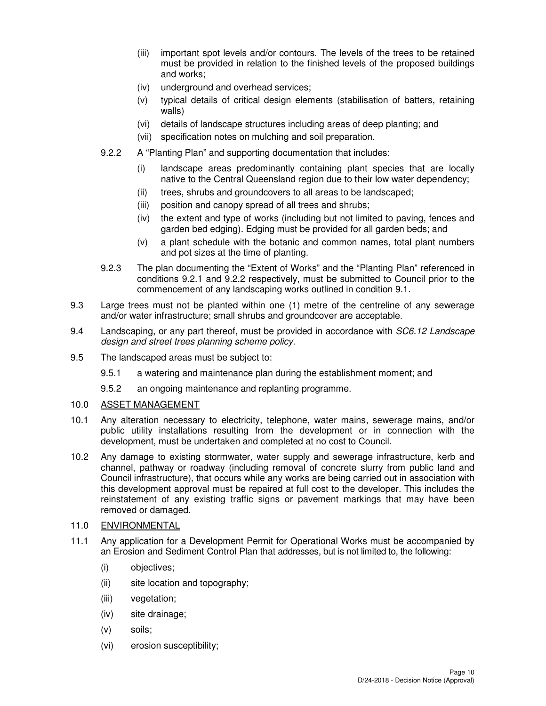- (iii) important spot levels and/or contours. The levels of the trees to be retained must be provided in relation to the finished levels of the proposed buildings and works;
- (iv) underground and overhead services;
- (v) typical details of critical design elements (stabilisation of batters, retaining walls)
- (vi) details of landscape structures including areas of deep planting; and
- (vii) specification notes on mulching and soil preparation.
- 9.2.2 A "Planting Plan" and supporting documentation that includes:
	- (i) landscape areas predominantly containing plant species that are locally native to the Central Queensland region due to their low water dependency;
	- (ii) trees, shrubs and groundcovers to all areas to be landscaped;
	- (iii) position and canopy spread of all trees and shrubs;
	- (iv) the extent and type of works (including but not limited to paving, fences and garden bed edging). Edging must be provided for all garden beds; and
	- (v) a plant schedule with the botanic and common names, total plant numbers and pot sizes at the time of planting.
- 9.2.3 The plan documenting the "Extent of Works" and the "Planting Plan" referenced in conditions 9.2.1 and 9.2.2 respectively, must be submitted to Council prior to the commencement of any landscaping works outlined in condition 9.1.
- 9.3 Large trees must not be planted within one (1) metre of the centreline of any sewerage and/or water infrastructure; small shrubs and groundcover are acceptable.
- 9.4 Landscaping, or any part thereof, must be provided in accordance with SC6.12 Landscape design and street trees planning scheme policy.
- 9.5 The landscaped areas must be subject to:
	- 9.5.1 a watering and maintenance plan during the establishment moment; and
	- 9.5.2 an ongoing maintenance and replanting programme.

#### 10.0 ASSET MANAGEMENT

- 10.1 Any alteration necessary to electricity, telephone, water mains, sewerage mains, and/or public utility installations resulting from the development or in connection with the development, must be undertaken and completed at no cost to Council.
- 10.2 Any damage to existing stormwater, water supply and sewerage infrastructure, kerb and channel, pathway or roadway (including removal of concrete slurry from public land and Council infrastructure), that occurs while any works are being carried out in association with this development approval must be repaired at full cost to the developer. This includes the reinstatement of any existing traffic signs or pavement markings that may have been removed or damaged.

## 11.0 ENVIRONMENTAL

- 11.1 Any application for a Development Permit for Operational Works must be accompanied by an Erosion and Sediment Control Plan that addresses, but is not limited to, the following:
	- (i) objectives;
	- (ii) site location and topography;
	- (iii) vegetation;
	- (iv) site drainage;
	- (v) soils;
	- (vi) erosion susceptibility;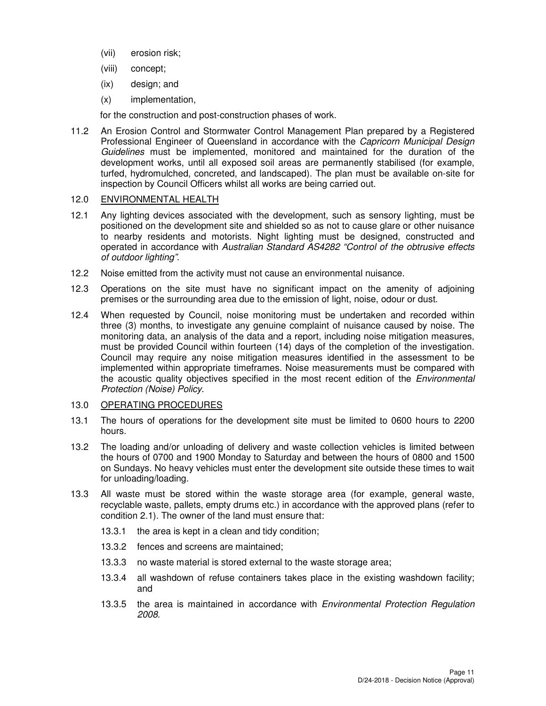- (vii) erosion risk;
- (viii) concept;
- (ix) design; and
- (x) implementation,

for the construction and post-construction phases of work.

11.2 An Erosion Control and Stormwater Control Management Plan prepared by a Registered Professional Engineer of Queensland in accordance with the Capricorn Municipal Design Guidelines must be implemented, monitored and maintained for the duration of the development works, until all exposed soil areas are permanently stabilised (for example, turfed, hydromulched, concreted, and landscaped). The plan must be available on-site for inspection by Council Officers whilst all works are being carried out.

#### 12.0 ENVIRONMENTAL HEALTH

- 12.1 Any lighting devices associated with the development, such as sensory lighting, must be positioned on the development site and shielded so as not to cause glare or other nuisance to nearby residents and motorists. Night lighting must be designed, constructed and operated in accordance with Australian Standard AS4282 "Control of the obtrusive effects of outdoor lighting".
- 12.2 Noise emitted from the activity must not cause an environmental nuisance.
- 12.3 Operations on the site must have no significant impact on the amenity of adjoining premises or the surrounding area due to the emission of light, noise, odour or dust.
- 12.4 When requested by Council, noise monitoring must be undertaken and recorded within three (3) months, to investigate any genuine complaint of nuisance caused by noise. The monitoring data, an analysis of the data and a report, including noise mitigation measures, must be provided Council within fourteen (14) days of the completion of the investigation. Council may require any noise mitigation measures identified in the assessment to be implemented within appropriate timeframes. Noise measurements must be compared with the acoustic quality objectives specified in the most recent edition of the *Environmental* Protection (Noise) Policy.

## 13.0 OPERATING PROCEDURES

- 13.1 The hours of operations for the development site must be limited to 0600 hours to 2200 hours.
- 13.2 The loading and/or unloading of delivery and waste collection vehicles is limited between the hours of 0700 and 1900 Monday to Saturday and between the hours of 0800 and 1500 on Sundays. No heavy vehicles must enter the development site outside these times to wait for unloading/loading.
- 13.3 All waste must be stored within the waste storage area (for example, general waste, recyclable waste, pallets, empty drums etc.) in accordance with the approved plans (refer to condition 2.1). The owner of the land must ensure that:
	- 13.3.1 the area is kept in a clean and tidy condition;
	- 13.3.2 fences and screens are maintained;
	- 13.3.3 no waste material is stored external to the waste storage area;
	- 13.3.4 all washdown of refuse containers takes place in the existing washdown facility; and
	- 13.3.5 the area is maintained in accordance with Environmental Protection Regulation 2008.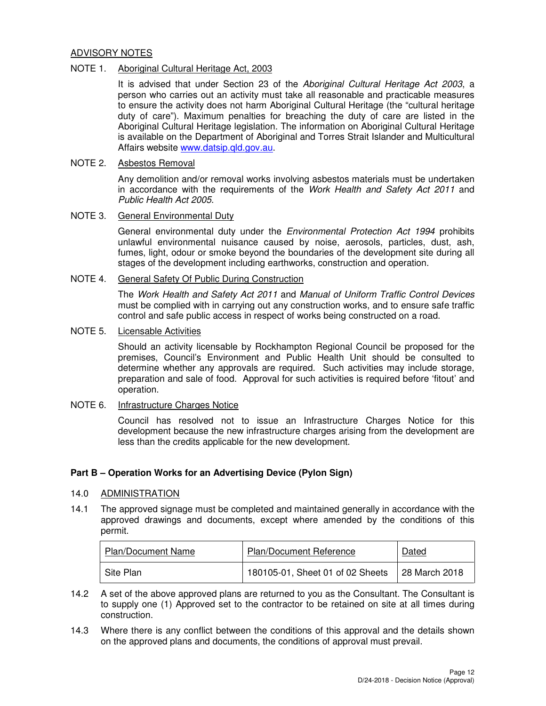#### ADVISORY NOTES

#### NOTE 1. Aboriginal Cultural Heritage Act, 2003

It is advised that under Section 23 of the Aboriginal Cultural Heritage Act 2003, a person who carries out an activity must take all reasonable and practicable measures to ensure the activity does not harm Aboriginal Cultural Heritage (the "cultural heritage duty of care"). Maximum penalties for breaching the duty of care are listed in the Aboriginal Cultural Heritage legislation. The information on Aboriginal Cultural Heritage is available on the Department of Aboriginal and Torres Strait Islander and Multicultural Affairs website www.datsip.qld.gov.au.

#### NOTE 2. Asbestos Removal

Any demolition and/or removal works involving asbestos materials must be undertaken in accordance with the requirements of the Work Health and Safety Act 2011 and Public Health Act 2005.

#### NOTE 3. General Environmental Duty

General environmental duty under the *Environmental Protection Act 1994* prohibits unlawful environmental nuisance caused by noise, aerosols, particles, dust, ash, fumes, light, odour or smoke beyond the boundaries of the development site during all stages of the development including earthworks, construction and operation.

## NOTE 4. General Safety Of Public During Construction

The Work Health and Safety Act 2011 and Manual of Uniform Traffic Control Devices must be complied with in carrying out any construction works, and to ensure safe traffic control and safe public access in respect of works being constructed on a road.

#### NOTE 5. Licensable Activities

Should an activity licensable by Rockhampton Regional Council be proposed for the premises, Council's Environment and Public Health Unit should be consulted to determine whether any approvals are required. Such activities may include storage, preparation and sale of food. Approval for such activities is required before 'fitout' and operation.

## NOTE 6. Infrastructure Charges Notice

Council has resolved not to issue an Infrastructure Charges Notice for this development because the new infrastructure charges arising from the development are less than the credits applicable for the new development.

## **Part B – Operation Works for an Advertising Device (Pylon Sign)**

#### 14.0 ADMINISTRATION

14.1 The approved signage must be completed and maintained generally in accordance with the approved drawings and documents, except where amended by the conditions of this permit.

| <b>Plan/Document Name</b> | <b>Plan/Document Reference</b>                   | Dated |
|---------------------------|--------------------------------------------------|-------|
| Site Plan                 | 180105-01, Sheet 01 of 02 Sheets   28 March 2018 |       |

- 14.2 A set of the above approved plans are returned to you as the Consultant. The Consultant is to supply one (1) Approved set to the contractor to be retained on site at all times during construction.
- 14.3 Where there is any conflict between the conditions of this approval and the details shown on the approved plans and documents, the conditions of approval must prevail.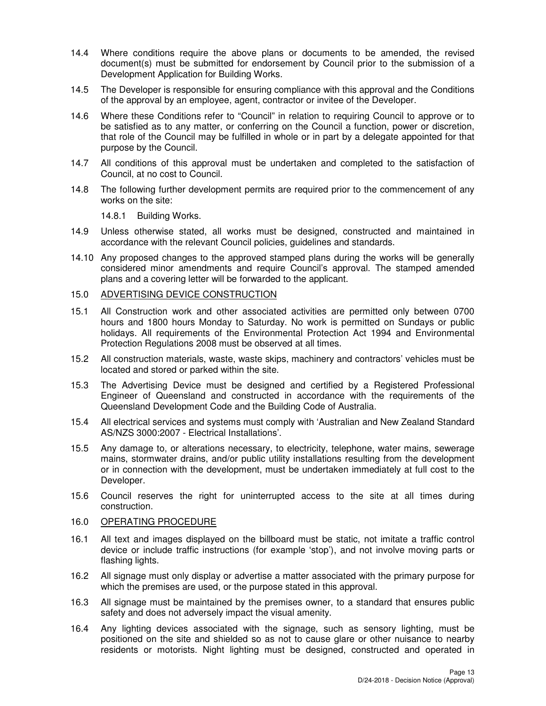- 14.4 Where conditions require the above plans or documents to be amended, the revised document(s) must be submitted for endorsement by Council prior to the submission of a Development Application for Building Works.
- 14.5 The Developer is responsible for ensuring compliance with this approval and the Conditions of the approval by an employee, agent, contractor or invitee of the Developer.
- 14.6 Where these Conditions refer to "Council" in relation to requiring Council to approve or to be satisfied as to any matter, or conferring on the Council a function, power or discretion, that role of the Council may be fulfilled in whole or in part by a delegate appointed for that purpose by the Council.
- 14.7 All conditions of this approval must be undertaken and completed to the satisfaction of Council, at no cost to Council.
- 14.8 The following further development permits are required prior to the commencement of any works on the site:

14.8.1 Building Works.

- 14.9 Unless otherwise stated, all works must be designed, constructed and maintained in accordance with the relevant Council policies, guidelines and standards.
- 14.10 Any proposed changes to the approved stamped plans during the works will be generally considered minor amendments and require Council's approval. The stamped amended plans and a covering letter will be forwarded to the applicant.

#### 15.0 ADVERTISING DEVICE CONSTRUCTION

- 15.1 All Construction work and other associated activities are permitted only between 0700 hours and 1800 hours Monday to Saturday. No work is permitted on Sundays or public holidays. All requirements of the Environmental Protection Act 1994 and Environmental Protection Regulations 2008 must be observed at all times.
- 15.2 All construction materials, waste, waste skips, machinery and contractors' vehicles must be located and stored or parked within the site.
- 15.3 The Advertising Device must be designed and certified by a Registered Professional Engineer of Queensland and constructed in accordance with the requirements of the Queensland Development Code and the Building Code of Australia.
- 15.4 All electrical services and systems must comply with 'Australian and New Zealand Standard AS/NZS 3000:2007 - Electrical Installations'.
- 15.5 Any damage to, or alterations necessary, to electricity, telephone, water mains, sewerage mains, stormwater drains, and/or public utility installations resulting from the development or in connection with the development, must be undertaken immediately at full cost to the Developer.
- 15.6 Council reserves the right for uninterrupted access to the site at all times during construction.

#### 16.0 OPERATING PROCEDURE

- 16.1 All text and images displayed on the billboard must be static, not imitate a traffic control device or include traffic instructions (for example 'stop'), and not involve moving parts or flashing lights.
- 16.2 All signage must only display or advertise a matter associated with the primary purpose for which the premises are used, or the purpose stated in this approval.
- 16.3 All signage must be maintained by the premises owner, to a standard that ensures public safety and does not adversely impact the visual amenity.
- 16.4 Any lighting devices associated with the signage, such as sensory lighting, must be positioned on the site and shielded so as not to cause glare or other nuisance to nearby residents or motorists. Night lighting must be designed, constructed and operated in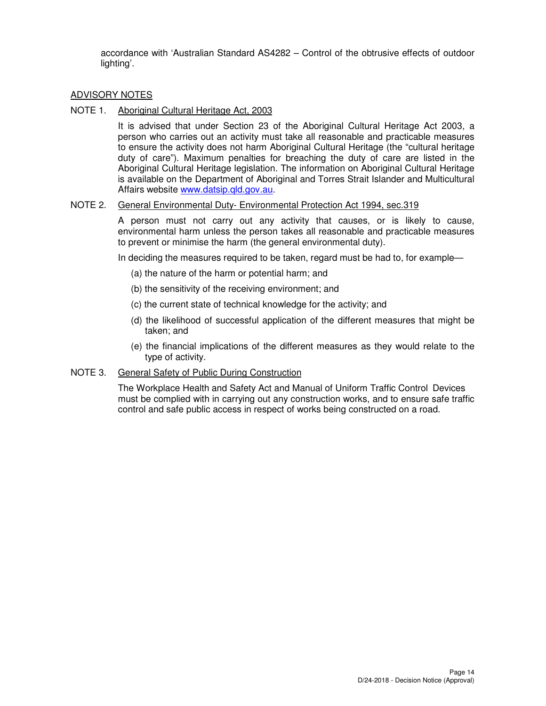accordance with 'Australian Standard AS4282 – Control of the obtrusive effects of outdoor lighting'.

#### ADVISORY NOTES

NOTE 1. Aboriginal Cultural Heritage Act, 2003

It is advised that under Section 23 of the Aboriginal Cultural Heritage Act 2003, a person who carries out an activity must take all reasonable and practicable measures to ensure the activity does not harm Aboriginal Cultural Heritage (the "cultural heritage duty of care"). Maximum penalties for breaching the duty of care are listed in the Aboriginal Cultural Heritage legislation. The information on Aboriginal Cultural Heritage is available on the Department of Aboriginal and Torres Strait Islander and Multicultural Affairs website www.datsip.qld.gov.au.

#### NOTE 2. General Environmental Duty- Environmental Protection Act 1994, sec.319

A person must not carry out any activity that causes, or is likely to cause, environmental harm unless the person takes all reasonable and practicable measures to prevent or minimise the harm (the general environmental duty).

In deciding the measures required to be taken, regard must be had to, for example—

- (a) the nature of the harm or potential harm; and
- (b) the sensitivity of the receiving environment; and
- (c) the current state of technical knowledge for the activity; and
- (d) the likelihood of successful application of the different measures that might be taken; and
- (e) the financial implications of the different measures as they would relate to the type of activity.

#### NOTE 3. General Safety of Public During Construction

The Workplace Health and Safety Act and Manual of Uniform Traffic Control Devices must be complied with in carrying out any construction works, and to ensure safe traffic control and safe public access in respect of works being constructed on a road.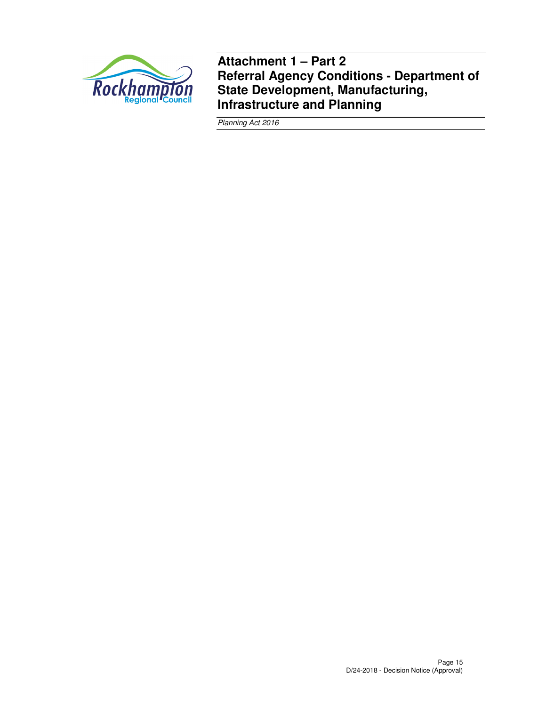

**Attachment 1 – Part 2 Referral Agency Conditions - Department of State Development, Manufacturing, Infrastructure and Planning** 

Planning Act 2016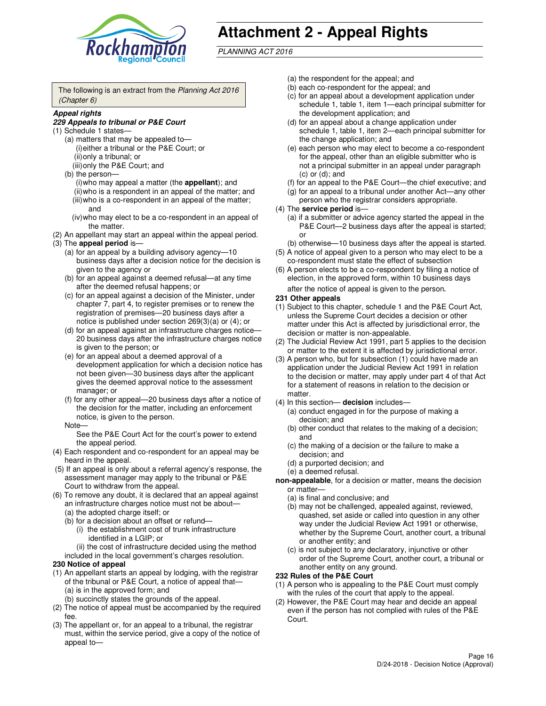

# **Attachment 2 - Appeal Rights**

PLANNING ACT 2016

The following is an extract from the Planning Act 2016 (Chapter 6)

#### **Appeal rights**

#### **229 Appeals to tribunal or P&E Court**

- (1) Schedule 1 states—
	- (a) matters that may be appealed to— (i) either a tribunal or the P&E Court; or (ii) only a tribunal; or (iii) only the P&E Court; and
	- (b) the person—
		- (i) who may appeal a matter (the **appellant**); and
		- (ii) who is a respondent in an appeal of the matter; and (iii) who is a co-respondent in an appeal of the matter; and
		- (iv) who may elect to be a co-respondent in an appeal of the matter.
- (2) An appellant may start an appeal within the appeal period.
- (3) The **appeal period** is—
	- (a) for an appeal by a building advisory agency—10 business days after a decision notice for the decision is given to the agency or
	- (b) for an appeal against a deemed refusal—at any time after the deemed refusal happens; or
	- (c) for an appeal against a decision of the Minister, under chapter 7, part 4, to register premises or to renew the registration of premises—20 business days after a notice is published under section 269(3)(a) or (4); or
	- (d) for an appeal against an infrastructure charges notice— 20 business days after the infrastructure charges notice is given to the person; or
	- (e) for an appeal about a deemed approval of a development application for which a decision notice has not been given—30 business days after the applicant gives the deemed approval notice to the assessment manager; or
	- (f) for any other appeal—20 business days after a notice of the decision for the matter, including an enforcement notice, is given to the person.
	- Note—

See the P&E Court Act for the court's power to extend the appeal period.

- (4) Each respondent and co-respondent for an appeal may be heard in the appeal.
- (5) If an appeal is only about a referral agency's response, the assessment manager may apply to the tribunal or P&E Court to withdraw from the appeal.
- (6) To remove any doubt, it is declared that an appeal against an infrastructure charges notice must not be about—
	- (a) the adopted charge itself; or
	- (b) for a decision about an offset or refund—
		- (i) the establishment cost of trunk infrastructure identified in a LGIP; or
		- (ii) the cost of infrastructure decided using the method
- included in the local government's charges resolution. **230 Notice of appeal**
- (1) An appellant starts an appeal by lodging, with the registrar of the tribunal or P&E Court, a notice of appeal that—
	- (a) is in the approved form; and
	- (b) succinctly states the grounds of the appeal.
- (2) The notice of appeal must be accompanied by the required fee.
- (3) The appellant or, for an appeal to a tribunal, the registrar must, within the service period, give a copy of the notice of appeal to—
- (a) the respondent for the appeal; and
- (b) each co-respondent for the appeal; and
- (c) for an appeal about a development application under schedule 1, table 1, item 1—each principal submitter for the development application; and
- (d) for an appeal about a change application under schedule 1, table 1, item 2—each principal submitter for the change application; and
- (e) each person who may elect to become a co-respondent for the appeal, other than an eligible submitter who is not a principal submitter in an appeal under paragraph  $(c)$  or  $(d)$ ; and
- (f) for an appeal to the P&E Court—the chief executive; and
- (g) for an appeal to a tribunal under another Act—any other person who the registrar considers appropriate.
- (4) The **service period** is—
	- (a) if a submitter or advice agency started the appeal in the P&E Court—2 business days after the appeal is started; or
	- (b) otherwise—10 business days after the appeal is started.
- (5) A notice of appeal given to a person who may elect to be a co-respondent must state the effect of subsection
- (6) A person elects to be a co-respondent by filing a notice of election, in the approved form, within 10 business days after the notice of appeal is given to the person*.*
- **231 Other appeals**
- (1) Subject to this chapter, schedule 1 and the P&E Court Act, unless the Supreme Court decides a decision or other matter under this Act is affected by jurisdictional error, the decision or matter is non-appealable.
- (2) The Judicial Review Act 1991, part 5 applies to the decision or matter to the extent it is affected by jurisdictional error.
- (3) A person who, but for subsection (1) could have made an application under the Judicial Review Act 1991 in relation to the decision or matter, may apply under part 4 of that Act for a statement of reasons in relation to the decision or matter.
- (4) In this section— **decision** includes—
	- (a) conduct engaged in for the purpose of making a decision; and
	- (b) other conduct that relates to the making of a decision; and
	- (c) the making of a decision or the failure to make a decision; and
	- (d) a purported decision; and
	- (e) a deemed refusal.

**non-appealable**, for a decision or matter, means the decision or matter—

- (a) is final and conclusive; and
- (b) may not be challenged, appealed against, reviewed, quashed, set aside or called into question in any other way under the Judicial Review Act 1991 or otherwise, whether by the Supreme Court, another court, a tribunal or another entity; and
- (c) is not subject to any declaratory, injunctive or other order of the Supreme Court, another court, a tribunal or another entity on any ground.

#### **232 Rules of the P&E Court**

- (1) A person who is appealing to the P&E Court must comply with the rules of the court that apply to the appeal.
- (2) However, the P&E Court may hear and decide an appeal even if the person has not complied with rules of the P&E Court.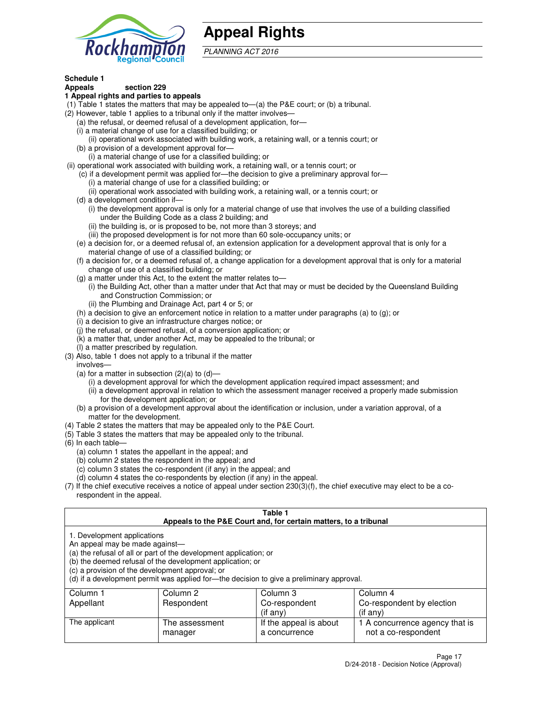

## **Appeal Rights**

PLANNING ACT 2016

## **Schedule 1**

## **Appeals section 229**

#### **1 Appeal rights and parties to appeals**

- (1) Table 1 states the matters that may be appealed to—(a) the P&E court; or (b) a tribunal.
- (2) However, table 1 applies to a tribunal only if the matter involves—
	- (a) the refusal, or deemed refusal of a development application, for—
	- (i) a material change of use for a classified building; or
	- (ii) operational work associated with building work, a retaining wall, or a tennis court; or
	- (b) a provision of a development approval for—
	- (i) a material change of use for a classified building; or
- (ii) operational work associated with building work, a retaining wall, or a tennis court; or
	- (c) if a development permit was applied for—the decision to give a preliminary approval for—
		- (i) a material change of use for a classified building; or
		- (ii) operational work associated with building work, a retaining wall, or a tennis court; or
	- (d) a development condition if—
		- (i) the development approval is only for a material change of use that involves the use of a building classified under the Building Code as a class 2 building; and
		- (ii) the building is, or is proposed to be, not more than 3 storeys; and
		- (iii) the proposed development is for not more than 60 sole-occupancy units; or
	- (e) a decision for, or a deemed refusal of, an extension application for a development approval that is only for a material change of use of a classified building; or
	- (f) a decision for, or a deemed refusal of, a change application for a development approval that is only for a material change of use of a classified building; or
	- (g) a matter under this Act, to the extent the matter relates to—
		- (i) the Building Act, other than a matter under that Act that may or must be decided by the Queensland Building and Construction Commission; or
		- (ii) the Plumbing and Drainage Act, part 4 or 5; or
	- (h) a decision to give an enforcement notice in relation to a matter under paragraphs (a) to (g); or
	- (i) a decision to give an infrastructure charges notice; or
	- (j) the refusal, or deemed refusal, of a conversion application; or
	- (k) a matter that, under another Act, may be appealed to the tribunal; or
	- (l) a matter prescribed by regulation.
- (3) Also, table 1 does not apply to a tribunal if the matter
	- involves—
	- (a) for a matter in subsection  $(2)(a)$  to  $(d)$ 
		- (i) a development approval for which the development application required impact assessment; and
		- (ii) a development approval in relation to which the assessment manager received a properly made submission for the development application; or
	- (b) a provision of a development approval about the identification or inclusion, under a variation approval, of a matter for the development.
- (4) Table 2 states the matters that may be appealed only to the P&E Court.
- (5) Table 3 states the matters that may be appealed only to the tribunal.
- (6) In each table—
	- (a) column 1 states the appellant in the appeal; and
	- (b) column 2 states the respondent in the appeal; and
	- (c) column 3 states the co-respondent (if any) in the appeal; and
	- (d) column 4 states the co-respondents by election (if any) in the appeal.
- (7) If the chief executive receives a notice of appeal under section 230(3)(f), the chief executive may elect to be a corespondent in the appeal.

| Table 1<br>Appeals to the P&E Court and, for certain matters, to a tribunal                                      |                                                                                                                                |                                                                                          |                                                       |  |
|------------------------------------------------------------------------------------------------------------------|--------------------------------------------------------------------------------------------------------------------------------|------------------------------------------------------------------------------------------|-------------------------------------------------------|--|
| 1. Development applications<br>An appeal may be made against-<br>(c) a provision of the development approval; or | (a) the refusal of all or part of the development application; or<br>(b) the deemed refusal of the development application; or | (d) if a development permit was applied for-the decision to give a preliminary approval. |                                                       |  |
| Column 3<br>Column 2<br>Column 4<br>Column 1                                                                     |                                                                                                                                |                                                                                          |                                                       |  |
| Appellant                                                                                                        | Respondent                                                                                                                     | Co-respondent                                                                            | Co-respondent by election                             |  |
| $($ if any $)$<br>$($ if any $)$                                                                                 |                                                                                                                                |                                                                                          |                                                       |  |
| The applicant                                                                                                    | The assessment<br>manager                                                                                                      | If the appeal is about<br>a concurrence                                                  | 1 A concurrence agency that is<br>not a co-respondent |  |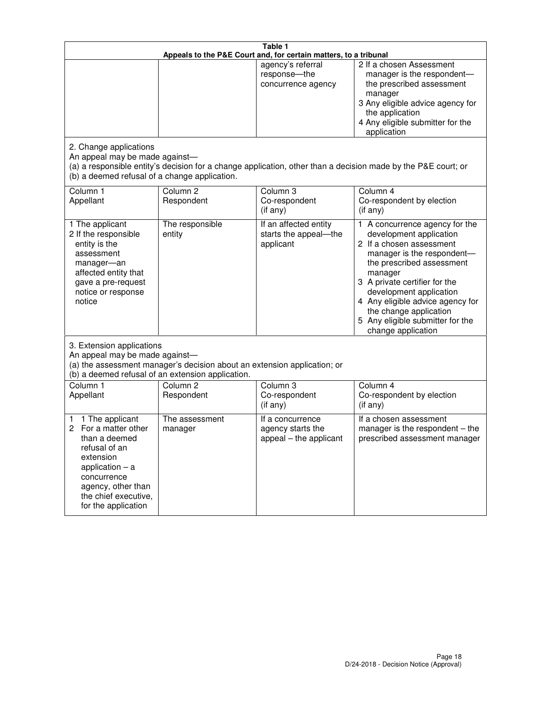| Table 1<br>Appeals to the P&E Court and, for certain matters, to a tribunal                                                                                                                             |                                                                                                                                                                                              |                                                                 |                                                                                                                                                                                                                                                                                                                                                 |  |  |
|---------------------------------------------------------------------------------------------------------------------------------------------------------------------------------------------------------|----------------------------------------------------------------------------------------------------------------------------------------------------------------------------------------------|-----------------------------------------------------------------|-------------------------------------------------------------------------------------------------------------------------------------------------------------------------------------------------------------------------------------------------------------------------------------------------------------------------------------------------|--|--|
|                                                                                                                                                                                                         |                                                                                                                                                                                              | agency's referral<br>response-the<br>concurrence agency         | 2 If a chosen Assessment<br>manager is the respondent-<br>the prescribed assessment<br>manager<br>3 Any eligible advice agency for<br>the application<br>4 Any eligible submitter for the<br>application                                                                                                                                        |  |  |
| 2. Change applications<br>An appeal may be made against-<br>(b) a deemed refusal of a change application.                                                                                               |                                                                                                                                                                                              |                                                                 | (a) a responsible entity's decision for a change application, other than a decision made by the P&E court; or                                                                                                                                                                                                                                   |  |  |
| Column 1<br>Appellant                                                                                                                                                                                   | Column <sub>2</sub><br>Respondent                                                                                                                                                            | Column <sub>3</sub><br>Co-respondent<br>(if any)                | Column 4<br>Co-respondent by election<br>(if any)                                                                                                                                                                                                                                                                                               |  |  |
| 1 The applicant<br>2 If the responsible<br>entity is the<br>assessment<br>manager-an<br>affected entity that<br>gave a pre-request<br>notice or response<br>notice                                      | The responsible<br>entity                                                                                                                                                                    | If an affected entity<br>starts the appeal-the<br>applicant     | 1 A concurrence agency for the<br>development application<br>2 If a chosen assessment<br>manager is the respondent-<br>the prescribed assessment<br>manager<br>3 A private certifier for the<br>development application<br>4 Any eligible advice agency for<br>the change application<br>5 Any eligible submitter for the<br>change application |  |  |
|                                                                                                                                                                                                         | 3. Extension applications<br>An appeal may be made against-<br>(a) the assessment manager's decision about an extension application; or<br>(b) a deemed refusal of an extension application. |                                                                 |                                                                                                                                                                                                                                                                                                                                                 |  |  |
| Column 1<br>Appellant                                                                                                                                                                                   | Column <sub>2</sub><br>Respondent                                                                                                                                                            | Column <sub>3</sub><br>Co-respondent<br>(if any)                | Column 4<br>Co-respondent by election<br>(if any)                                                                                                                                                                                                                                                                                               |  |  |
| 1 The applicant<br>1<br>For a matter other<br>2<br>than a deemed<br>refusal of an<br>extension<br>application $-$ a<br>concurrence<br>agency, other than<br>the chief executive,<br>for the application | The assessment<br>manager                                                                                                                                                                    | If a concurrence<br>agency starts the<br>appeal - the applicant | If a chosen assessment<br>manager is the respondent $-$ the<br>prescribed assessment manager                                                                                                                                                                                                                                                    |  |  |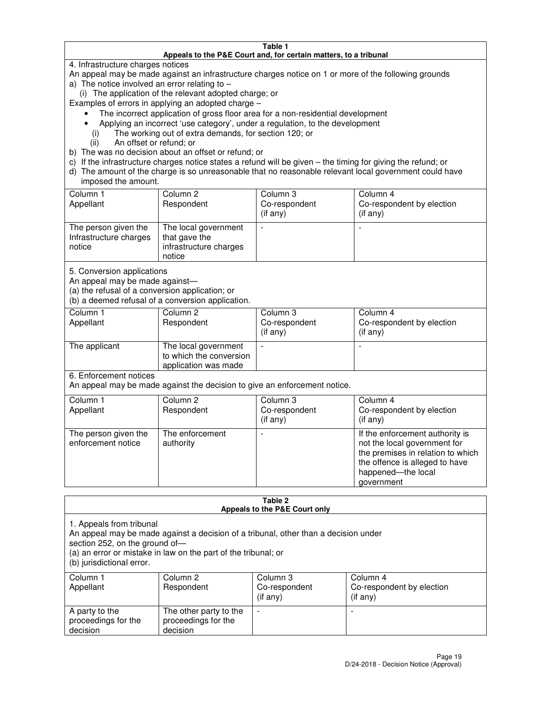#### **Table 1 Appeals to the P&E Court and, for certain matters, to a tribunal**

4. Infrastructure charges notices

An appeal may be made against an infrastructure charges notice on 1 or more of the following grounds

- a) The notice involved an error relating to
	- (i) The application of the relevant adopted charge; or

Examples of errors in applying an adopted charge –

- The incorrect application of gross floor area for a non-residential development
- Applying an incorrect 'use category', under a regulation, to the development
	- (i) The working out of extra demands, for section 120; or
	- (ii) An offset or refund; or
- b) The was no decision about an offset or refund; or
- c) If the infrastructure charges notice states a refund will be given the timing for giving the refund; or
- d) The amount of the charge is so unreasonable that no reasonable relevant local government could have imposed the amount.

| Column 1<br>Appellant                                    | Column 2<br>Respondent                                                    | Column 3<br>Co-respondent<br>$($ if any $)$ | Column 4<br>Co-respondent by election<br>$($ if any $)$ |
|----------------------------------------------------------|---------------------------------------------------------------------------|---------------------------------------------|---------------------------------------------------------|
| The person given the<br>Infrastructure charges<br>notice | The local government<br>that gave the<br>infrastructure charges<br>notice |                                             |                                                         |

5. Conversion applications

An appeal may be made against—

(a) the refusal of a conversion application; or

(b) a deemed refusal of a conversion application.

| Column 1<br>Appellant | Column 2<br>Respondent                                                  | Column 3<br>Co-respondent<br>$($ if any $)$ | Column 4<br>Co-respondent by election<br>$($ if any $)$ |
|-----------------------|-------------------------------------------------------------------------|---------------------------------------------|---------------------------------------------------------|
| The applicant         | The local government<br>to which the conversion<br>application was made |                                             |                                                         |

6. Enforcement notices

An appeal may be made against the decision to give an enforcement notice.

| Column 1<br>Appellant                      | Column 2<br>Respondent       | Column 3<br>Co-respondent<br>$($ if any $)$ | Column 4<br>Co-respondent by election<br>(if any)                                                                                                                          |
|--------------------------------------------|------------------------------|---------------------------------------------|----------------------------------------------------------------------------------------------------------------------------------------------------------------------------|
| The person given the<br>enforcement notice | The enforcement<br>authority |                                             | If the enforcement authority is<br>not the local government for<br>the premises in relation to which<br>the offence is alleged to have<br>happened-the local<br>government |

#### **Table 2 Appeals to the P&E Court only**

1. Appeals from tribunal

An appeal may be made against a decision of a tribunal, other than a decision under

section 252, on the ground of—

(a) an error or mistake in law on the part of the tribunal; or

(b) jurisdictional error.

| Column 1<br>Appellant                             | Column 2<br>Respondent                                    | Column 3<br>Co-respondent<br>(if any) | Column 4<br>Co-respondent by election<br>(if any) |
|---------------------------------------------------|-----------------------------------------------------------|---------------------------------------|---------------------------------------------------|
| A party to the<br>proceedings for the<br>decision | The other party to the<br>proceedings for the<br>decision | -                                     |                                                   |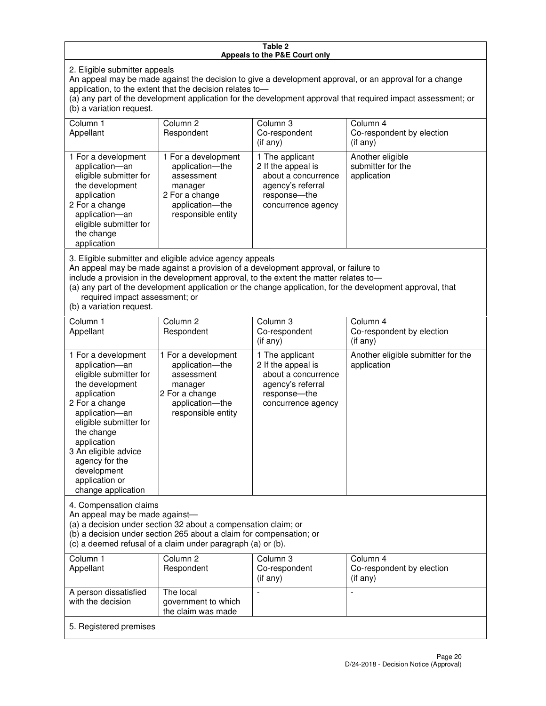#### **Table 2 Appeals to the P&E Court only**

2. Eligible submitter appeals

An appeal may be made against the decision to give a development approval, or an approval for a change application, to the extent that the decision relates to—

(a) any part of the development application for the development approval that required impact assessment; or (b) a variation request.

| Column 1<br>Appellant                                                                                                                                                                                                                                                                                                                                                                                              | Column <sub>2</sub><br>Respondent                                                                                          | Column 3<br>Co-respondent<br>(if any)                                                                                     | Column 4<br>Co-respondent by election<br>(i f any)           |  |
|--------------------------------------------------------------------------------------------------------------------------------------------------------------------------------------------------------------------------------------------------------------------------------------------------------------------------------------------------------------------------------------------------------------------|----------------------------------------------------------------------------------------------------------------------------|---------------------------------------------------------------------------------------------------------------------------|--------------------------------------------------------------|--|
| 1 For a development<br>application-an<br>eligible submitter for<br>the development<br>application<br>2 For a change<br>application-an<br>eligible submitter for<br>the change<br>application                                                                                                                                                                                                                       | 1 For a development<br>application-the<br>assessment<br>manager<br>2 For a change<br>application-the<br>responsible entity | 1 The applicant<br>2 If the appeal is<br>about a concurrence<br>agency's referral<br>response---the<br>concurrence agency | Another eligible<br>submitter for the<br>application         |  |
| 3. Eligible submitter and eligible advice agency appeals<br>An appeal may be made against a provision of a development approval, or failure to<br>include a provision in the development approval, to the extent the matter relates to-<br>(a) any part of the development application or the change application, for the development approval, that<br>required impact assessment; or<br>(b) a variation request. |                                                                                                                            |                                                                                                                           |                                                              |  |
| Column 1<br>Appellant                                                                                                                                                                                                                                                                                                                                                                                              | Column <sub>2</sub><br>Respondent                                                                                          | Column 3<br>Co-respondent<br>(if any)                                                                                     | Column <sub>4</sub><br>Co-respondent by election<br>(if any) |  |
| 1 For a development<br>application-an<br>eligible submitter for<br>the development                                                                                                                                                                                                                                                                                                                                 | 1 For a development<br>application-the<br>assessment<br>manager                                                            | 1 The applicant<br>2 If the appeal is<br>about a concurrence<br>agency's referral                                         | Another eligible submitter for the<br>application            |  |

response—the concurrence agency

change application 4. Compensation claims

application 2 For a change application—an eligible submitter for

the change application 3 An eligible advice agency for the development application or

An appeal may be made against—

(a) a decision under section 32 about a compensation claim; or

2 For a change application—the responsible entity

(b) a decision under section 265 about a claim for compensation; or

(c) a deemed refusal of a claim under paragraph (a) or (b).

| Column 1<br>Appellant                      | Column 2<br>Respondent                                 | Column 3<br>Co-respondent<br>(if any) | Column 4<br>Co-respondent by election<br>(if any) |
|--------------------------------------------|--------------------------------------------------------|---------------------------------------|---------------------------------------------------|
| A person dissatisfied<br>with the decision | The local<br>government to which<br>the claim was made |                                       |                                                   |
| 5. Registered premises                     |                                                        |                                       |                                                   |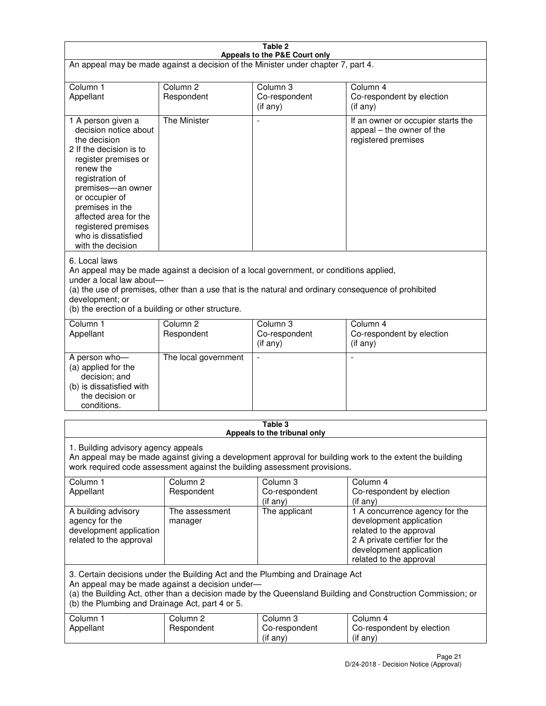| Table 2<br>Appeals to the P&E Court only                                                                                                                                                                                                                                                             |                                                                                                                                                                                                                                                                                  |                                         |                                                                                                                                                                             |  |  |
|------------------------------------------------------------------------------------------------------------------------------------------------------------------------------------------------------------------------------------------------------------------------------------------------------|----------------------------------------------------------------------------------------------------------------------------------------------------------------------------------------------------------------------------------------------------------------------------------|-----------------------------------------|-----------------------------------------------------------------------------------------------------------------------------------------------------------------------------|--|--|
| An appeal may be made against a decision of the Minister under chapter 7, part 4.                                                                                                                                                                                                                    |                                                                                                                                                                                                                                                                                  |                                         |                                                                                                                                                                             |  |  |
|                                                                                                                                                                                                                                                                                                      |                                                                                                                                                                                                                                                                                  |                                         |                                                                                                                                                                             |  |  |
| Column 1<br>Appellant                                                                                                                                                                                                                                                                                | Column <sub>2</sub><br>Respondent                                                                                                                                                                                                                                                | Column <sub>3</sub><br>Co-respondent    | Column <sub>4</sub><br>Co-respondent by election                                                                                                                            |  |  |
|                                                                                                                                                                                                                                                                                                      |                                                                                                                                                                                                                                                                                  | $($ if any $)$                          | (if any)                                                                                                                                                                    |  |  |
| 1 A person given a<br>decision notice about<br>the decision<br>2 If the decision is to<br>register premises or<br>renew the<br>registration of<br>premises-an owner<br>or occupier of<br>premises in the<br>affected area for the<br>registered premises<br>who is dissatisfied<br>with the decision | <b>The Minister</b>                                                                                                                                                                                                                                                              |                                         | If an owner or occupier starts the<br>appeal – the owner of the<br>registered premises                                                                                      |  |  |
| 6. Local laws<br>development; or                                                                                                                                                                                                                                                                     | An appeal may be made against a decision of a local government, or conditions applied,<br>under a local law about-<br>(a) the use of premises, other than a use that is the natural and ordinary consequence of prohibited<br>(b) the erection of a building or other structure. |                                         |                                                                                                                                                                             |  |  |
| Column 1                                                                                                                                                                                                                                                                                             | Column <sub>2</sub>                                                                                                                                                                                                                                                              | Column 3                                | Column $\overline{4}$                                                                                                                                                       |  |  |
| Appellant                                                                                                                                                                                                                                                                                            | Respondent                                                                                                                                                                                                                                                                       | Co-respondent<br>(if any)               | Co-respondent by election<br>(if any)                                                                                                                                       |  |  |
| A person who-<br>(a) applied for the<br>decision; and<br>(b) is dissatisfied with<br>the decision or<br>conditions.                                                                                                                                                                                  | The local government                                                                                                                                                                                                                                                             |                                         |                                                                                                                                                                             |  |  |
|                                                                                                                                                                                                                                                                                                      |                                                                                                                                                                                                                                                                                  | Table 3<br>Appeals to the tribunal only |                                                                                                                                                                             |  |  |
| 1. Building advisory agency appeals<br>An appeal may be made against giving a development approval for building work to the extent the building<br>work required code assessment against the building assessment provisions.                                                                         |                                                                                                                                                                                                                                                                                  |                                         |                                                                                                                                                                             |  |  |
| Column 1<br>Appellant                                                                                                                                                                                                                                                                                | Column <sub>2</sub><br>Respondent                                                                                                                                                                                                                                                | Column 3<br>Co-respondent<br>(if any)   | Column 4<br>Co-respondent by election<br>(if any)                                                                                                                           |  |  |
| A building advisory<br>agency for the<br>development application<br>related to the approval                                                                                                                                                                                                          | The assessment<br>manager                                                                                                                                                                                                                                                        | The applicant                           | 1 A concurrence agency for the<br>development application<br>related to the approval<br>2 A private certifier for the<br>development application<br>related to the approval |  |  |
| 3. Certain decisions under the Building Act and the Plumbing and Drainage Act<br>An appeal may be made against a decision under-<br>(a) the Building Act, other than a decision made by the Queensland Building and Construction Commission; or<br>(b) the Plumbing and Drainage Act, part 4 or 5.   |                                                                                                                                                                                                                                                                                  |                                         |                                                                                                                                                                             |  |  |
| Column 1<br>Appellant                                                                                                                                                                                                                                                                                | Column <sub>2</sub><br>Respondent                                                                                                                                                                                                                                                | Column 3<br>Co-respondent<br>(if any)   | Column 4<br>Co-respondent by election<br>(if any)                                                                                                                           |  |  |